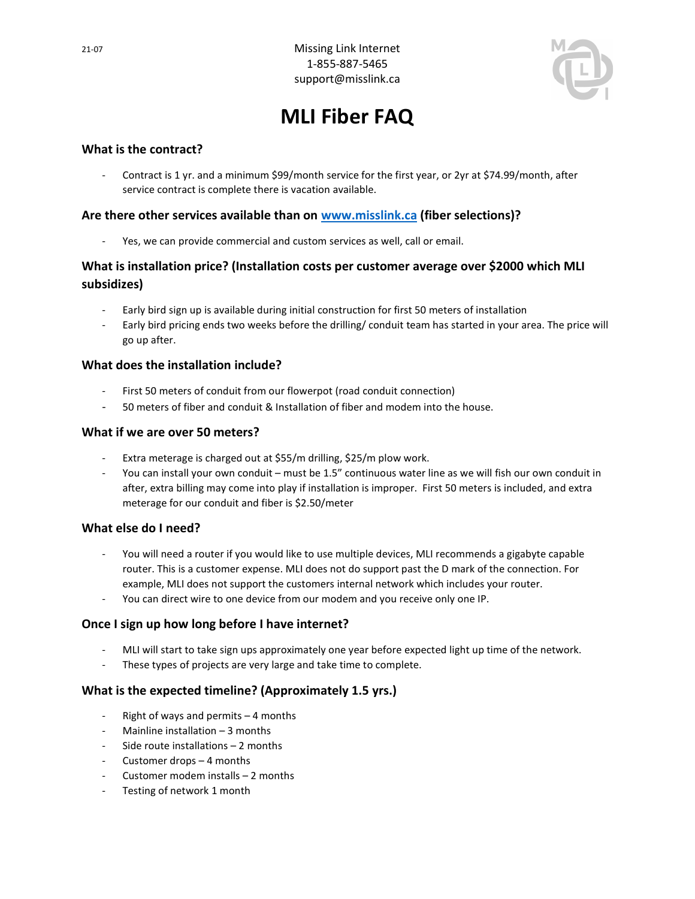

# MLI Fiber FAQ

## What is the contract?

- Contract is 1 yr. and a minimum \$99/month service for the first year, or 2yr at \$74.99/month, after service contract is complete there is vacation available.

## Are there other services available than on www.misslink.ca (fiber selections)?

- Yes, we can provide commercial and custom services as well, call or email.

# What is installation price? (Installation costs per customer average over \$2000 which MLI subsidizes)

- Early bird sign up is available during initial construction for first 50 meters of installation
- Early bird pricing ends two weeks before the drilling/ conduit team has started in your area. The price will go up after.

#### What does the installation include?

- First 50 meters of conduit from our flowerpot (road conduit connection)
- 50 meters of fiber and conduit & Installation of fiber and modem into the house.

#### What if we are over 50 meters?

- Extra meterage is charged out at \$55/m drilling, \$25/m plow work.
- You can install your own conduit must be 1.5" continuous water line as we will fish our own conduit in after, extra billing may come into play if installation is improper. First 50 meters is included, and extra meterage for our conduit and fiber is \$2.50/meter

#### What else do I need?

- You will need a router if you would like to use multiple devices, MLI recommends a gigabyte capable router. This is a customer expense. MLI does not do support past the D mark of the connection. For example, MLI does not support the customers internal network which includes your router.
- You can direct wire to one device from our modem and you receive only one IP.

#### Once I sign up how long before I have internet?

- MLI will start to take sign ups approximately one year before expected light up time of the network.
- These types of projects are very large and take time to complete.

#### What is the expected timeline? (Approximately 1.5 yrs.)

- Right of ways and permits 4 months
- Mainline installation  $-3$  months
- Side route installations 2 months
- Customer drops 4 months
- Customer modem installs 2 months
- Testing of network 1 month